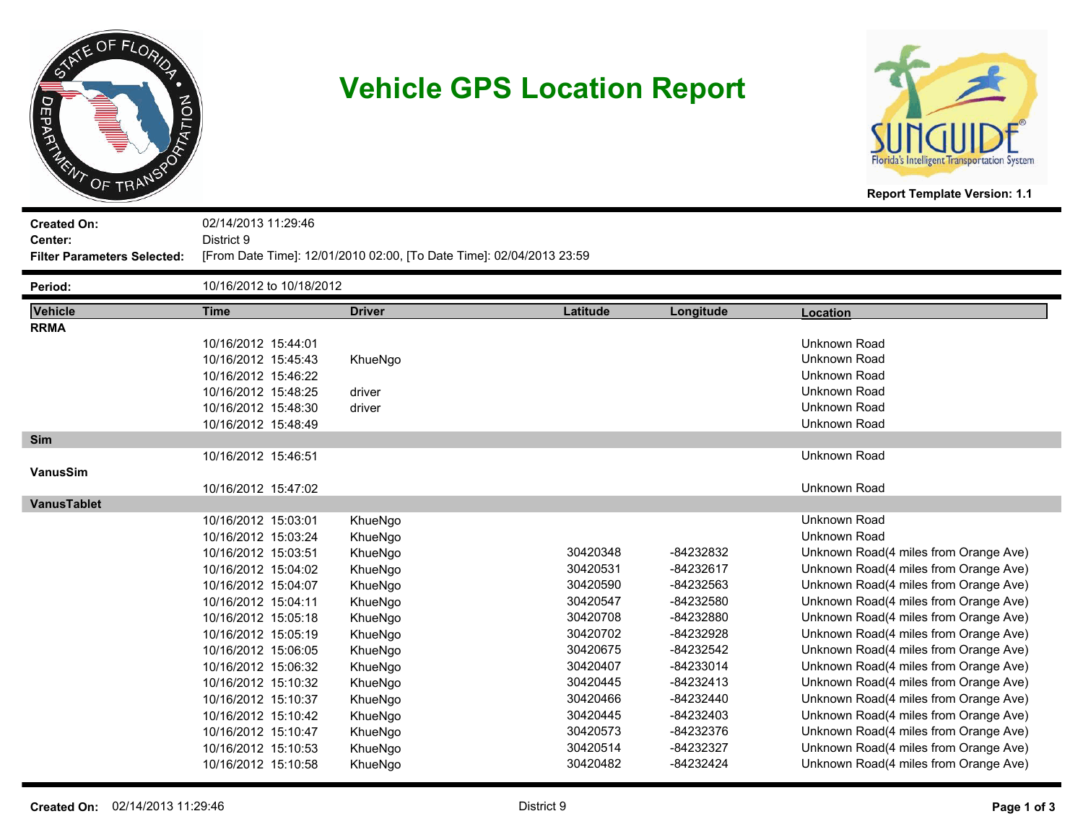

# **Vehicle GPS Location Report**



**Created On: Center:** 02/14/2013 11:29:46 District 9 **Filter Parameters Selected:** [From Date Time]: 12/01/2010 02:00, [To Date Time]: 02/04/2013 23:59

| Period:            |                     | 10/16/2012 to 10/18/2012 |          |           |                                       |  |  |
|--------------------|---------------------|--------------------------|----------|-----------|---------------------------------------|--|--|
| Vehicle            | <b>Time</b>         | <b>Driver</b>            | Latitude | Longitude | Location                              |  |  |
| <b>RRMA</b>        |                     |                          |          |           |                                       |  |  |
|                    | 10/16/2012 15:44:01 |                          |          |           | Unknown Road                          |  |  |
|                    | 10/16/2012 15:45:43 | KhueNgo                  |          |           | Unknown Road                          |  |  |
|                    | 10/16/2012 15:46:22 |                          |          |           | Unknown Road                          |  |  |
|                    | 10/16/2012 15:48:25 | driver                   |          |           | Unknown Road                          |  |  |
|                    | 10/16/2012 15:48:30 | driver                   |          |           | Unknown Road                          |  |  |
|                    | 10/16/2012 15:48:49 |                          |          |           | Unknown Road                          |  |  |
| <b>Sim</b>         |                     |                          |          |           |                                       |  |  |
|                    | 10/16/2012 15:46:51 |                          |          |           | Unknown Road                          |  |  |
| <b>VanusSim</b>    |                     |                          |          |           |                                       |  |  |
|                    | 10/16/2012 15:47:02 |                          |          |           | Unknown Road                          |  |  |
| <b>VanusTablet</b> |                     |                          |          |           |                                       |  |  |
|                    | 10/16/2012 15:03:01 | KhueNgo                  |          |           | Unknown Road                          |  |  |
|                    | 10/16/2012 15:03:24 | KhueNgo                  |          |           | Unknown Road                          |  |  |
|                    | 10/16/2012 15:03:51 | KhueNgo                  | 30420348 | -84232832 | Unknown Road(4 miles from Orange Ave) |  |  |
|                    | 10/16/2012 15:04:02 | KhueNgo                  | 30420531 | -84232617 | Unknown Road(4 miles from Orange Ave) |  |  |
|                    | 10/16/2012 15:04:07 | KhueNgo                  | 30420590 | -84232563 | Unknown Road(4 miles from Orange Ave) |  |  |
|                    | 10/16/2012 15:04:11 | KhueNgo                  | 30420547 | -84232580 | Unknown Road(4 miles from Orange Ave) |  |  |
|                    | 10/16/2012 15:05:18 | KhueNgo                  | 30420708 | -84232880 | Unknown Road(4 miles from Orange Ave) |  |  |
|                    | 10/16/2012 15:05:19 | KhueNgo                  | 30420702 | -84232928 | Unknown Road(4 miles from Orange Ave) |  |  |
|                    | 10/16/2012 15:06:05 | KhueNgo                  | 30420675 | -84232542 | Unknown Road(4 miles from Orange Ave) |  |  |
|                    | 10/16/2012 15:06:32 | KhueNgo                  | 30420407 | -84233014 | Unknown Road(4 miles from Orange Ave) |  |  |
|                    | 10/16/2012 15:10:32 | KhueNgo                  | 30420445 | -84232413 | Unknown Road(4 miles from Orange Ave) |  |  |
|                    | 10/16/2012 15:10:37 | KhueNgo                  | 30420466 | -84232440 | Unknown Road(4 miles from Orange Ave) |  |  |
|                    | 10/16/2012 15:10:42 | KhueNgo                  | 30420445 | -84232403 | Unknown Road(4 miles from Orange Ave) |  |  |
|                    | 10/16/2012 15:10:47 | KhueNgo                  | 30420573 | -84232376 | Unknown Road(4 miles from Orange Ave) |  |  |
|                    | 10/16/2012 15:10:53 | KhueNgo                  | 30420514 | -84232327 | Unknown Road(4 miles from Orange Ave) |  |  |
|                    | 10/16/2012 15:10:58 | KhueNao                  | 30420482 | -84232424 | Unknown Road(4 miles from Orange Ave) |  |  |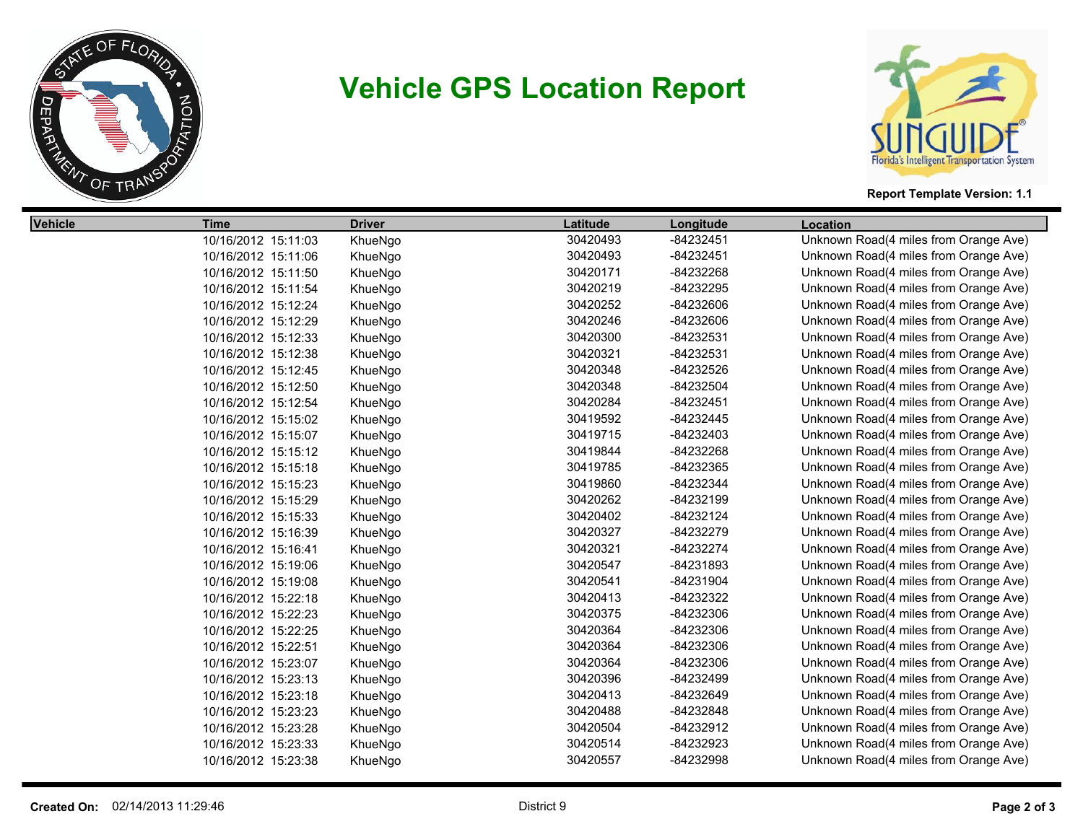

# **Vehicle GPS Location Report**



#### **Report Template Version: 1.1**

| <b>Vehicle</b> | <b>Time</b>         | <b>Driver</b> | Latitude | Longitude | <b>Location</b>                       |
|----------------|---------------------|---------------|----------|-----------|---------------------------------------|
|                | 10/16/2012 15:11:03 | KhueNgo       | 30420493 | -84232451 | Unknown Road(4 miles from Orange Ave) |
|                | 10/16/2012 15:11:06 | KhueNgo       | 30420493 | -84232451 | Unknown Road(4 miles from Orange Ave) |
|                | 10/16/2012 15:11:50 | KhueNgo       | 30420171 | -84232268 | Unknown Road(4 miles from Orange Ave) |
|                | 10/16/2012 15:11:54 | KhueNgo       | 30420219 | -84232295 | Unknown Road(4 miles from Orange Ave) |
|                | 10/16/2012 15:12:24 | KhueNgo       | 30420252 | -84232606 | Unknown Road(4 miles from Orange Ave) |
|                | 10/16/2012 15:12:29 | KhueNgo       | 30420246 | -84232606 | Unknown Road(4 miles from Orange Ave) |
|                | 10/16/2012 15:12:33 | KhueNgo       | 30420300 | -84232531 | Unknown Road(4 miles from Orange Ave) |
|                | 10/16/2012 15:12:38 | KhueNgo       | 30420321 | -84232531 | Unknown Road(4 miles from Orange Ave) |
|                | 10/16/2012 15:12:45 | KhueNgo       | 30420348 | -84232526 | Unknown Road(4 miles from Orange Ave) |
|                | 10/16/2012 15:12:50 | KhueNgo       | 30420348 | -84232504 | Unknown Road(4 miles from Orange Ave) |
|                | 10/16/2012 15:12:54 | KhueNgo       | 30420284 | -84232451 | Unknown Road(4 miles from Orange Ave) |
|                | 10/16/2012 15:15:02 | KhueNgo       | 30419592 | -84232445 | Unknown Road(4 miles from Orange Ave) |
|                | 10/16/2012 15:15:07 | KhueNgo       | 30419715 | -84232403 | Unknown Road(4 miles from Orange Ave) |
|                | 10/16/2012 15:15:12 | KhueNgo       | 30419844 | -84232268 | Unknown Road(4 miles from Orange Ave) |
|                | 10/16/2012 15:15:18 | KhueNgo       | 30419785 | -84232365 | Unknown Road(4 miles from Orange Ave) |
|                | 10/16/2012 15:15:23 | KhueNgo       | 30419860 | -84232344 | Unknown Road(4 miles from Orange Ave) |
|                | 10/16/2012 15:15:29 | KhueNgo       | 30420262 | -84232199 | Unknown Road(4 miles from Orange Ave) |
|                | 10/16/2012 15:15:33 | KhueNgo       | 30420402 | -84232124 | Unknown Road(4 miles from Orange Ave) |
|                | 10/16/2012 15:16:39 | KhueNgo       | 30420327 | -84232279 | Unknown Road(4 miles from Orange Ave) |
|                | 10/16/2012 15:16:41 | KhueNgo       | 30420321 | -84232274 | Unknown Road(4 miles from Orange Ave) |
|                | 10/16/2012 15:19:06 | KhueNgo       | 30420547 | -84231893 | Unknown Road(4 miles from Orange Ave) |
|                | 10/16/2012 15:19:08 | KhueNgo       | 30420541 | -84231904 | Unknown Road(4 miles from Orange Ave) |
|                | 10/16/2012 15:22:18 | KhueNgo       | 30420413 | -84232322 | Unknown Road(4 miles from Orange Ave) |
|                | 10/16/2012 15:22:23 | KhueNgo       | 30420375 | -84232306 | Unknown Road(4 miles from Orange Ave) |
|                | 10/16/2012 15:22:25 | KhueNgo       | 30420364 | -84232306 | Unknown Road(4 miles from Orange Ave) |
|                | 10/16/2012 15:22:51 | KhueNgo       | 30420364 | -84232306 | Unknown Road(4 miles from Orange Ave) |
|                | 10/16/2012 15:23:07 | KhueNgo       | 30420364 | -84232306 | Unknown Road(4 miles from Orange Ave) |
|                | 10/16/2012 15:23:13 | KhueNgo       | 30420396 | -84232499 | Unknown Road(4 miles from Orange Ave) |
|                | 10/16/2012 15:23:18 | KhueNgo       | 30420413 | -84232649 | Unknown Road(4 miles from Orange Ave) |
|                | 10/16/2012 15:23:23 | KhueNgo       | 30420488 | -84232848 | Unknown Road(4 miles from Orange Ave) |
|                | 10/16/2012 15:23:28 | KhueNgo       | 30420504 | -84232912 | Unknown Road(4 miles from Orange Ave) |
|                | 10/16/2012 15:23:33 | KhueNgo       | 30420514 | -84232923 | Unknown Road(4 miles from Orange Ave) |
|                | 10/16/2012 15:23:38 | KhueNgo       | 30420557 | -84232998 | Unknown Road(4 miles from Orange Ave) |